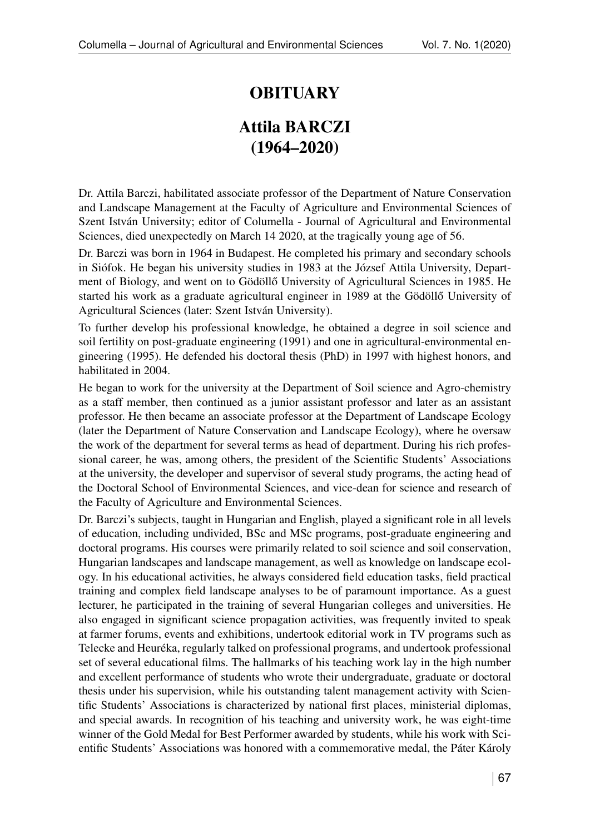## **OBITUARY**

## Attila BARCZI (1964–2020)

Dr. Attila Barczi, habilitated associate professor of the Department of Nature Conservation and Landscape Management at the Faculty of Agriculture and Environmental Sciences of Szent István University; editor of Columella - Journal of Agricultural and Environmental Sciences, died unexpectedly on March 14 2020, at the tragically young age of 56.

Dr. Barczi was born in 1964 in Budapest. He completed his primary and secondary schools in Siófok. He began his university studies in 1983 at the József Attila University, Department of Biology, and went on to Gödöllő University of Agricultural Sciences in 1985. He started his work as a graduate agricultural engineer in 1989 at the Gödöllő University of Agricultural Sciences (later: Szent István University).

To further develop his professional knowledge, he obtained a degree in soil science and soil fertility on post-graduate engineering (1991) and one in agricultural-environmental engineering (1995). He defended his doctoral thesis (PhD) in 1997 with highest honors, and habilitated in 2004.

He began to work for the university at the Department of Soil science and Agro-chemistry as a staff member, then continued as a junior assistant professor and later as an assistant professor. He then became an associate professor at the Department of Landscape Ecology (later the Department of Nature Conservation and Landscape Ecology), where he oversaw the work of the department for several terms as head of department. During his rich professional career, he was, among others, the president of the Scientific Students' Associations at the university, the developer and supervisor of several study programs, the acting head of the Doctoral School of Environmental Sciences, and vice-dean for science and research of the Faculty of Agriculture and Environmental Sciences.

Dr. Barczi's subjects, taught in Hungarian and English, played a significant role in all levels of education, including undivided, BSc and MSc programs, post-graduate engineering and doctoral programs. His courses were primarily related to soil science and soil conservation, Hungarian landscapes and landscape management, as well as knowledge on landscape ecology. In his educational activities, he always considered field education tasks, field practical training and complex field landscape analyses to be of paramount importance. As a guest lecturer, he participated in the training of several Hungarian colleges and universities. He also engaged in significant science propagation activities, was frequently invited to speak at farmer forums, events and exhibitions, undertook editorial work in TV programs such as Telecke and Heuréka, regularly talked on professional programs, and undertook professional set of several educational films. The hallmarks of his teaching work lay in the high number and excellent performance of students who wrote their undergraduate, graduate or doctoral thesis under his supervision, while his outstanding talent management activity with Scientific Students' Associations is characterized by national first places, ministerial diplomas, and special awards. In recognition of his teaching and university work, he was eight-time winner of the Gold Medal for Best Performer awarded by students, while his work with Scientific Students' Associations was honored with a commemorative medal, the Páter Károly